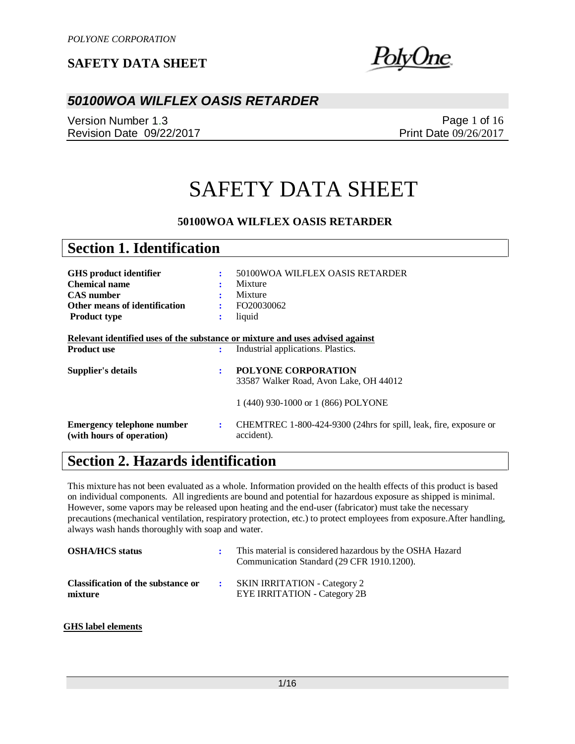<u> blyUne</u>

### *50100WOA WILFLEX OASIS RETARDER*

Version Number 1.3 Revision Date 09/22/2017

Page 1 of 16 Print Date 09/26/2017

# SAFETY DATA SHEET

#### **50100WOA WILFLEX OASIS RETARDER**

| <b>Section 1. Identification</b>                                                                                            |                          |                                                                                                             |
|-----------------------------------------------------------------------------------------------------------------------------|--------------------------|-------------------------------------------------------------------------------------------------------------|
| GHS product identifier<br><b>Chemical name</b><br><b>CAS</b> number<br>Other means of identification<br><b>Product type</b> | ÷<br>÷<br>$\ddot{\cdot}$ | 50100WOA WILFLEX OASIS RETARDER<br>Mixture<br>Mixture<br>FO20030062<br>liquid                               |
| Relevant identified uses of the substance or mixture and uses advised against<br><b>Product use</b>                         | ÷                        | Industrial applications. Plastics.                                                                          |
| Supplier's details                                                                                                          | ÷                        | <b>POLYONE CORPORATION</b><br>33587 Walker Road, Avon Lake, OH 44012<br>1 (440) 930-1000 or 1 (866) POLYONE |
| <b>Emergency telephone number</b><br>(with hours of operation)                                                              | ÷                        | CHEMTREC 1-800-424-9300 (24hrs for spill, leak, fire, exposure or<br>accident).                             |

# **Section 2. Hazards identification**

This mixture has not been evaluated as a whole. Information provided on the health effects of this product is based on individual components. All ingredients are bound and potential for hazardous exposure as shipped is minimal. However, some vapors may be released upon heating and the end-user (fabricator) must take the necessary precautions (mechanical ventilation, respiratory protection, etc.) to protect employees from exposure.After handling, always wash hands thoroughly with soap and water.

| <b>OSHA/HCS status</b>                        | This material is considered hazardous by the OSHA Hazard<br>Communication Standard (29 CFR 1910.1200). |
|-----------------------------------------------|--------------------------------------------------------------------------------------------------------|
| Classification of the substance or<br>mixture | <b>SKIN IRRITATION - Category 2</b><br><b>EYE IRRITATION - Category 2B</b>                             |

#### **GHS label elements**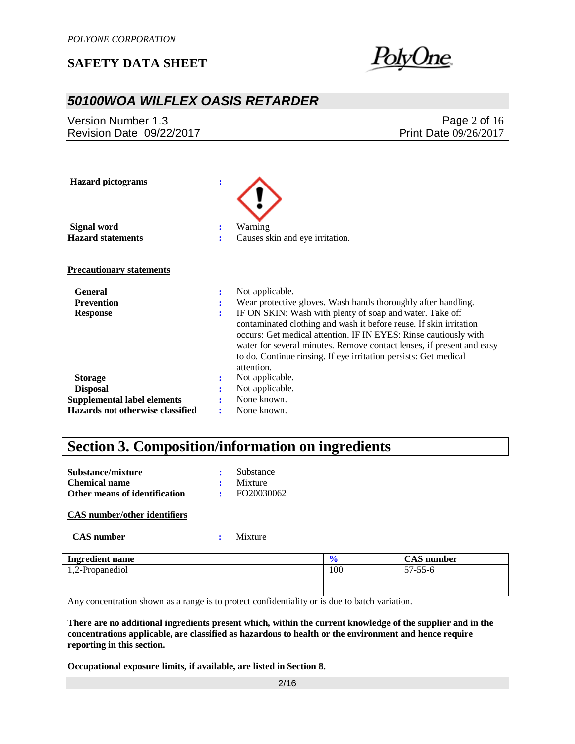

## *50100WOA WILFLEX OASIS RETARDER*

Version Number 1.3 Revision Date 09/22/2017

Page 2 of 16 Print Date 09/26/2017

| <b>Hazard</b> pictograms           | $\ddot{\cdot}$ |                                                                                                                                                                                                                                                                                                                                                               |
|------------------------------------|----------------|---------------------------------------------------------------------------------------------------------------------------------------------------------------------------------------------------------------------------------------------------------------------------------------------------------------------------------------------------------------|
| Signal word                        |                | Warning                                                                                                                                                                                                                                                                                                                                                       |
| <b>Hazard statements</b>           |                | Causes skin and eye irritation.                                                                                                                                                                                                                                                                                                                               |
| <b>Precautionary statements</b>    |                |                                                                                                                                                                                                                                                                                                                                                               |
| <b>General</b>                     | :              | Not applicable.                                                                                                                                                                                                                                                                                                                                               |
| <b>Prevention</b>                  | ÷              | Wear protective gloves. Wash hands thoroughly after handling.                                                                                                                                                                                                                                                                                                 |
| <b>Response</b>                    | ÷              | IF ON SKIN: Wash with plenty of soap and water. Take off<br>contaminated clothing and wash it before reuse. If skin irritation<br>occurs: Get medical attention. IF IN EYES: Rinse cautiously with<br>water for several minutes. Remove contact lenses, if present and easy<br>to do. Continue rinsing. If eye irritation persists: Get medical<br>attention. |
| <b>Storage</b>                     |                | Not applicable.                                                                                                                                                                                                                                                                                                                                               |
| <b>Disposal</b>                    |                | Not applicable.                                                                                                                                                                                                                                                                                                                                               |
| <b>Supplemental label elements</b> |                | None known.                                                                                                                                                                                                                                                                                                                                                   |
| Hazards not otherwise classified   | ٠.             | None known.                                                                                                                                                                                                                                                                                                                                                   |

# **Section 3. Composition/information on ingredients**

| Substance/mixture             | Substance  |
|-------------------------------|------------|
| <b>Chemical name</b>          | Mixture    |
| Other means of identification | FO20030062 |

#### **CAS number/other identifiers**

 **CAS number :** Mixture

| <b>Ingredient name</b> |     | <b>CAS</b> number |
|------------------------|-----|-------------------|
| 1,2-Propanediol        | 100 | $57 - 55 - 6$     |
|                        |     |                   |
|                        |     |                   |

Any concentration shown as a range is to protect confidentiality or is due to batch variation.

**There are no additional ingredients present which, within the current knowledge of the supplier and in the concentrations applicable, are classified as hazardous to health or the environment and hence require reporting in this section.**

**Occupational exposure limits, if available, are listed in Section 8.**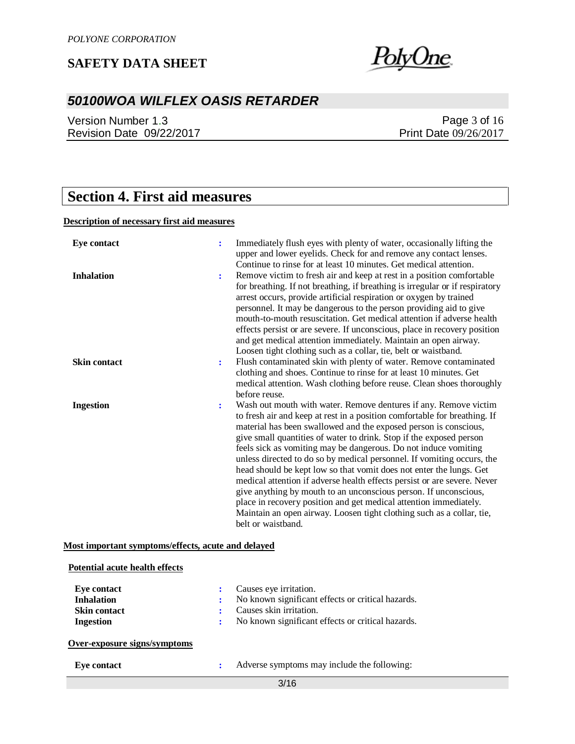

# *50100WOA WILFLEX OASIS RETARDER*

Version Number 1.3 Revision Date 09/22/2017

### Page 3 of 16 Print Date 09/26/2017

# **Section 4. First aid measures**

#### **Description of necessary first aid measures**

| <b>Eye contact</b>  |   | Immediately flush eyes with plenty of water, occasionally lifting the<br>upper and lower eyelids. Check for and remove any contact lenses.<br>Continue to rinse for at least 10 minutes. Get medical attention.                                                                                                                                                                                                                                                                                                                                                                                                                                                                                                                                                                                                                  |
|---------------------|---|----------------------------------------------------------------------------------------------------------------------------------------------------------------------------------------------------------------------------------------------------------------------------------------------------------------------------------------------------------------------------------------------------------------------------------------------------------------------------------------------------------------------------------------------------------------------------------------------------------------------------------------------------------------------------------------------------------------------------------------------------------------------------------------------------------------------------------|
| <b>Inhalation</b>   | ÷ | Remove victim to fresh air and keep at rest in a position comfortable<br>for breathing. If not breathing, if breathing is irregular or if respiratory<br>arrest occurs, provide artificial respiration or oxygen by trained<br>personnel. It may be dangerous to the person providing aid to give<br>mouth-to-mouth resuscitation. Get medical attention if adverse health<br>effects persist or are severe. If unconscious, place in recovery position<br>and get medical attention immediately. Maintain an open airway.<br>Loosen tight clothing such as a collar, tie, belt or waistband.                                                                                                                                                                                                                                    |
| <b>Skin contact</b> | ÷ | Flush contaminated skin with plenty of water. Remove contaminated<br>clothing and shoes. Continue to rinse for at least 10 minutes. Get<br>medical attention. Wash clothing before reuse. Clean shoes thoroughly<br>before reuse.                                                                                                                                                                                                                                                                                                                                                                                                                                                                                                                                                                                                |
| <b>Ingestion</b>    | ÷ | Wash out mouth with water. Remove dentures if any. Remove victim<br>to fresh air and keep at rest in a position comfortable for breathing. If<br>material has been swallowed and the exposed person is conscious,<br>give small quantities of water to drink. Stop if the exposed person<br>feels sick as vomiting may be dangerous. Do not induce vomiting<br>unless directed to do so by medical personnel. If vomiting occurs, the<br>head should be kept low so that vomit does not enter the lungs. Get<br>medical attention if adverse health effects persist or are severe. Never<br>give anything by mouth to an unconscious person. If unconscious,<br>place in recovery position and get medical attention immediately.<br>Maintain an open airway. Loosen tight clothing such as a collar, tie,<br>belt or waistband. |

#### **Most important symptoms/effects, acute and delayed**

| <b>Potential acute health effects</b>                                |   |                                                                                                                                                             |
|----------------------------------------------------------------------|---|-------------------------------------------------------------------------------------------------------------------------------------------------------------|
| Eve contact<br><b>Inhalation</b><br><b>Skin contact</b><br>Ingestion | ÷ | Causes eye irritation.<br>No known significant effects or critical hazards.<br>Causes skin irritation.<br>No known significant effects or critical hazards. |
| Over-exposure signs/symptoms                                         |   |                                                                                                                                                             |
| Eye contact                                                          | ÷ | Adverse symptoms may include the following:                                                                                                                 |
|                                                                      |   | 3/16                                                                                                                                                        |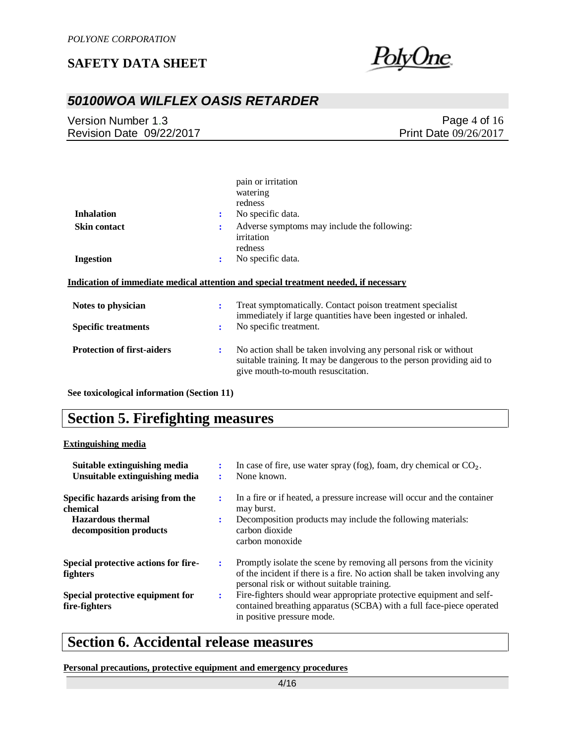

# *50100WOA WILFLEX OASIS RETARDER*

Version Number 1.3 Revision Date 09/22/2017

Page 4 of 16 Print Date 09/26/2017

|                                   |                | pain or irritation<br>watering                                                                                                                                                 |
|-----------------------------------|----------------|--------------------------------------------------------------------------------------------------------------------------------------------------------------------------------|
|                                   |                | redness                                                                                                                                                                        |
| <b>Inhalation</b>                 | $\ddot{\cdot}$ | No specific data.                                                                                                                                                              |
| <b>Skin contact</b>               | ÷              | Adverse symptoms may include the following:<br>irritation<br>redness                                                                                                           |
| <b>Ingestion</b>                  | ÷              | No specific data.                                                                                                                                                              |
|                                   |                | Indication of immediate medical attention and special treatment needed, if necessary                                                                                           |
| Notes to physician                | ÷              | Treat symptomatically. Contact poison treatment specialist<br>immediately if large quantities have been ingested or inhaled.                                                   |
| <b>Specific treatments</b>        | ÷              | No specific treatment.                                                                                                                                                         |
| <b>Protection of first-aiders</b> | ÷              | No action shall be taken involving any personal risk or without<br>suitable training. It may be dangerous to the person providing aid to<br>give mouth-to-mouth resuscitation. |

**See toxicological information (Section 11)**

# **Section 5. Firefighting measures**

#### **Extinguishing media**

| Suitable extinguishing media<br>Unsuitable extinguishing media                                      |   | In case of fire, use water spray (fog), foam, dry chemical or $CO2$ .<br>None known.                                                                                                              |
|-----------------------------------------------------------------------------------------------------|---|---------------------------------------------------------------------------------------------------------------------------------------------------------------------------------------------------|
| Specific hazards arising from the<br>chemical<br><b>Hazardous</b> thermal<br>decomposition products |   | In a fire or if heated, a pressure increase will occur and the container<br>may burst.<br>Decomposition products may include the following materials:<br>carbon dioxide<br>carbon monoxide        |
| Special protective actions for fire-<br>fighters                                                    |   | Promptly isolate the scene by removing all persons from the vicinity<br>of the incident if there is a fire. No action shall be taken involving any<br>personal risk or without suitable training. |
| Special protective equipment for<br>fire-fighters                                                   | ÷ | Fire-fighters should wear appropriate protective equipment and self-<br>contained breathing apparatus (SCBA) with a full face-piece operated<br>in positive pressure mode.                        |

# **Section 6. Accidental release measures**

**Personal precautions, protective equipment and emergency procedures**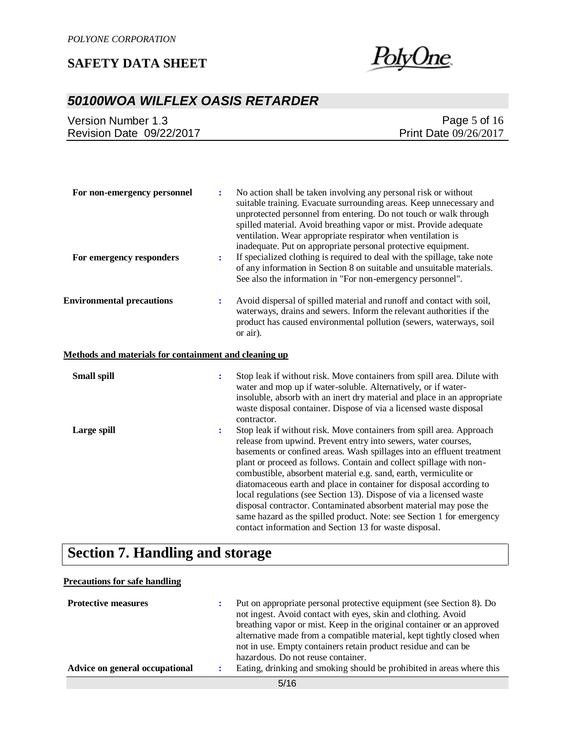

# *50100WOA WILFLEX OASIS RETARDER*

| Version Number 1.3       | Page 5 of $16$        |
|--------------------------|-----------------------|
| Revision Date 09/22/2017 | Print Date 09/26/2017 |

| For non-emergency personnel                           | $\ddot{\cdot}$ | No action shall be taken involving any personal risk or without<br>suitable training. Evacuate surrounding areas. Keep unnecessary and<br>unprotected personnel from entering. Do not touch or walk through<br>spilled material. Avoid breathing vapor or mist. Provide adequate<br>ventilation. Wear appropriate respirator when ventilation is<br>inadequate. Put on appropriate personal protective equipment.                                                                                                                                                                                                                                                                                                 |
|-------------------------------------------------------|----------------|-------------------------------------------------------------------------------------------------------------------------------------------------------------------------------------------------------------------------------------------------------------------------------------------------------------------------------------------------------------------------------------------------------------------------------------------------------------------------------------------------------------------------------------------------------------------------------------------------------------------------------------------------------------------------------------------------------------------|
| For emergency responders                              | ÷              | If specialized clothing is required to deal with the spillage, take note<br>of any information in Section 8 on suitable and unsuitable materials.<br>See also the information in "For non-emergency personnel".                                                                                                                                                                                                                                                                                                                                                                                                                                                                                                   |
| <b>Environmental precautions</b>                      | ÷              | Avoid dispersal of spilled material and runoff and contact with soil,<br>waterways, drains and sewers. Inform the relevant authorities if the<br>product has caused environmental pollution (sewers, waterways, soil<br>or air).                                                                                                                                                                                                                                                                                                                                                                                                                                                                                  |
| Methods and materials for containment and cleaning up |                |                                                                                                                                                                                                                                                                                                                                                                                                                                                                                                                                                                                                                                                                                                                   |
| <b>Small spill</b>                                    | $\ddot{\cdot}$ | Stop leak if without risk. Move containers from spill area. Dilute with<br>water and mop up if water-soluble. Alternatively, or if water-<br>insoluble, absorb with an inert dry material and place in an appropriate<br>waste disposal container. Dispose of via a licensed waste disposal<br>contractor.                                                                                                                                                                                                                                                                                                                                                                                                        |
| Large spill                                           | ÷              | Stop leak if without risk. Move containers from spill area. Approach<br>release from upwind. Prevent entry into sewers, water courses,<br>basements or confined areas. Wash spillages into an effluent treatment<br>plant or proceed as follows. Contain and collect spillage with non-<br>combustible, absorbent material e.g. sand, earth, vermiculite or<br>diatomaceous earth and place in container for disposal according to<br>local regulations (see Section 13). Dispose of via a licensed waste<br>disposal contractor. Contaminated absorbent material may pose the<br>same hazard as the spilled product. Note: see Section 1 for emergency<br>contact information and Section 13 for waste disposal. |

# **Section 7. Handling and storage**

#### **Precautions for safe handling**

| <b>Protective measures</b><br>Advice on general occupational |  | Put on appropriate personal protective equipment (see Section 8). Do<br>not ingest. Avoid contact with eyes, skin and clothing. Avoid<br>breathing vapor or mist. Keep in the original container or an approved<br>alternative made from a compatible material, kept tightly closed when<br>not in use. Empty containers retain product residue and can be<br>hazardous. Do not reuse container.<br>Eating, drinking and smoking should be prohibited in areas where this |  |
|--------------------------------------------------------------|--|---------------------------------------------------------------------------------------------------------------------------------------------------------------------------------------------------------------------------------------------------------------------------------------------------------------------------------------------------------------------------------------------------------------------------------------------------------------------------|--|
|                                                              |  |                                                                                                                                                                                                                                                                                                                                                                                                                                                                           |  |
| $-112$                                                       |  |                                                                                                                                                                                                                                                                                                                                                                                                                                                                           |  |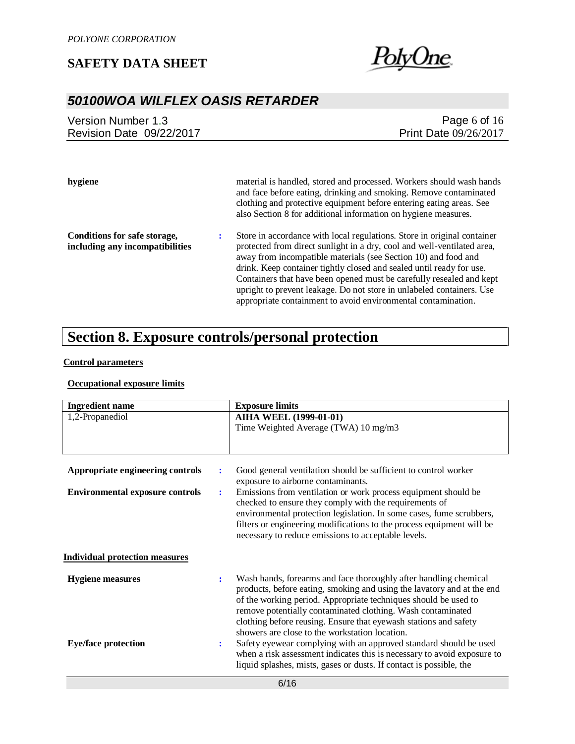

## *50100WOA WILFLEX OASIS RETARDER*

| Version Number 1.3       | Page 6 of $16$               |
|--------------------------|------------------------------|
| Revision Date 09/22/2017 | <b>Print Date 09/26/2017</b> |
|                          |                              |

**hygiene** material is handled, stored and processed. Workers should wash hands and face before eating, drinking and smoking. Remove contaminated clothing and protective equipment before entering eating areas. See also Section 8 for additional information on hygiene measures. **Conditions for safe storage, including any incompatibilities :** Store in accordance with local regulations. Store in original container protected from direct sunlight in a dry, cool and well-ventilated area,

away from incompatible materials (see Section 10) and food and drink. Keep container tightly closed and sealed until ready for use. Containers that have been opened must be carefully resealed and kept upright to prevent leakage. Do not store in unlabeled containers. Use appropriate containment to avoid environmental contamination.

## **Section 8. Exposure controls/personal protection**

#### **Control parameters**

#### **Occupational exposure limits**

| <b>Ingredient name</b>                 |                | <b>Exposure limits</b>                                                                                                                                                                                                                                                                                                                                                                             |
|----------------------------------------|----------------|----------------------------------------------------------------------------------------------------------------------------------------------------------------------------------------------------------------------------------------------------------------------------------------------------------------------------------------------------------------------------------------------------|
| 1,2-Propanediol                        |                | <b>AIHA WEEL (1999-01-01)</b>                                                                                                                                                                                                                                                                                                                                                                      |
|                                        |                | Time Weighted Average (TWA) 10 mg/m3                                                                                                                                                                                                                                                                                                                                                               |
|                                        |                |                                                                                                                                                                                                                                                                                                                                                                                                    |
| Appropriate engineering controls       | $\ddot{\cdot}$ | Good general ventilation should be sufficient to control worker<br>exposure to airborne contaminants.                                                                                                                                                                                                                                                                                              |
| <b>Environmental exposure controls</b> | $\ddot{\cdot}$ | Emissions from ventilation or work process equipment should be<br>checked to ensure they comply with the requirements of<br>environmental protection legislation. In some cases, fume scrubbers,<br>filters or engineering modifications to the process equipment will be<br>necessary to reduce emissions to acceptable levels.                                                                   |
| <b>Individual protection measures</b>  |                |                                                                                                                                                                                                                                                                                                                                                                                                    |
| <b>Hygiene measures</b>                | ÷              | Wash hands, forearms and face thoroughly after handling chemical<br>products, before eating, smoking and using the lavatory and at the end<br>of the working period. Appropriate techniques should be used to<br>remove potentially contaminated clothing. Wash contaminated<br>clothing before reusing. Ensure that eyewash stations and safety<br>showers are close to the workstation location. |
| <b>Eye/face protection</b>             | :              | Safety eyewear complying with an approved standard should be used<br>when a risk assessment indicates this is necessary to avoid exposure to<br>liquid splashes, mists, gases or dusts. If contact is possible, the                                                                                                                                                                                |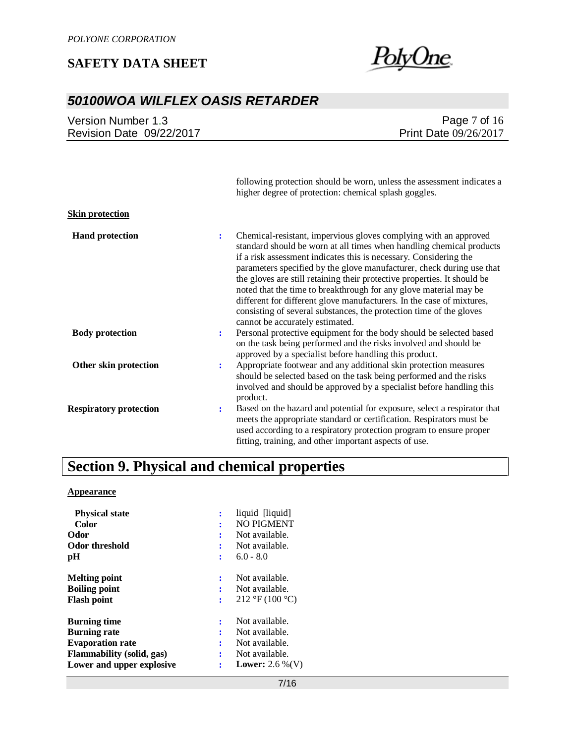

### *50100WOA WILFLEX OASIS RETARDER*

Version Number 1.3 Revision Date 09/22/2017

Page 7 of 16 Print Date 09/26/2017

following protection should be worn, unless the assessment indicates a higher degree of protection: chemical splash goggles. **Skin protection Hand protection :** Chemical-resistant, impervious gloves complying with an approved standard should be worn at all times when handling chemical products if a risk assessment indicates this is necessary. Considering the parameters specified by the glove manufacturer, check during use that the gloves are still retaining their protective properties. It should be noted that the time to breakthrough for any glove material may be different for different glove manufacturers. In the case of mixtures, consisting of several substances, the protection time of the gloves cannot be accurately estimated. **Body protection :** Personal protective equipment for the body should be selected based on the task being performed and the risks involved and should be approved by a specialist before handling this product. **Other skin protection :** Appropriate footwear and any additional skin protection measures should be selected based on the task being performed and the risks involved and should be approved by a specialist before handling this product. **Respiratory protection :** Based on the hazard and potential for exposure, select a respirator that meets the appropriate standard or certification. Respirators must be used according to a respiratory protection program to ensure proper fitting, training, and other important aspects of use.

### **Section 9. Physical and chemical properties**

#### **Appearance**

| <b>Physical state</b>            |                | liquid [liquid]                                |
|----------------------------------|----------------|------------------------------------------------|
| Color                            |                | <b>NO PIGMENT</b>                              |
| Odor                             |                | Not available.                                 |
| <b>Odor threshold</b>            |                | Not available.                                 |
| pH                               | ÷              | $6.0 - 8.0$                                    |
| <b>Melting point</b>             | ÷              | Not available.                                 |
| <b>Boiling point</b>             |                | Not available.                                 |
| <b>Flash point</b>               | $\ddot{\cdot}$ | $212 \text{ }^{\circ}F(100 \text{ }^{\circ}C)$ |
| <b>Burning time</b>              |                | Not available.                                 |
| <b>Burning rate</b>              | ٠              | Not available.                                 |
| <b>Evaporation rate</b>          | ÷              | Not available.                                 |
| <b>Flammability</b> (solid, gas) | ÷              | Not available.                                 |
| Lower and upper explosive        | $\ddot{\cdot}$ | <b>Lower:</b> 2.6 %(V)                         |
|                                  |                |                                                |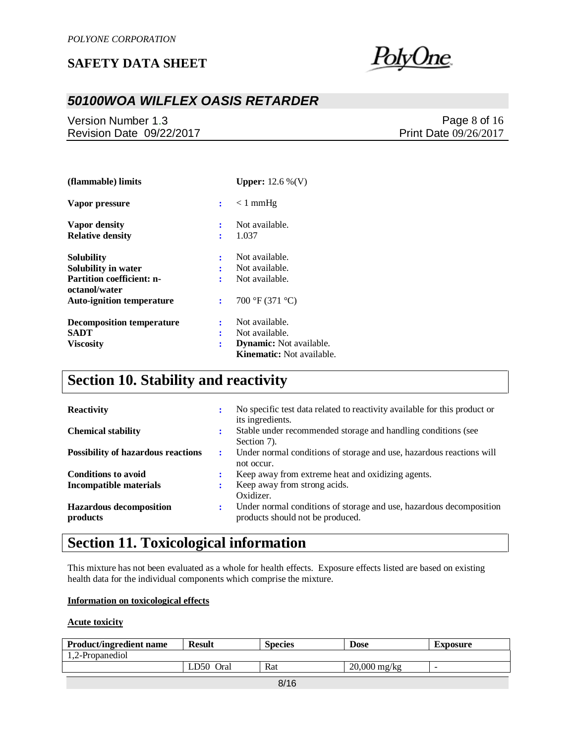

## *50100WOA WILFLEX OASIS RETARDER*

Version Number 1.3 Revision Date 09/22/2017

Page 8 of 16 Print Date 09/26/2017

| (flammable) limits                                |    | <b>Upper:</b> $12.6\%$ (V)       |
|---------------------------------------------------|----|----------------------------------|
| Vapor pressure                                    | ÷. | $< 1$ mmHg                       |
| Vapor density                                     | ÷  | Not available.                   |
| <b>Relative density</b>                           | ÷  | 1.037                            |
| Solubility                                        | ÷  | Not available.                   |
| Solubility in water                               | ÷  | Not available.                   |
| <b>Partition coefficient: n-</b><br>octanol/water | ٠  | Not available.                   |
| <b>Auto-ignition temperature</b>                  | ÷  | 700 °F (371 °C)                  |
| <b>Decomposition temperature</b>                  | ÷  | Not available.                   |
| SADT                                              | ÷  | Not available.                   |
| <b>Viscosity</b>                                  | ÷  | <b>Dynamic:</b> Not available.   |
|                                                   |    | <b>Kinematic:</b> Not available. |

# **Section 10. Stability and reactivity**

| <b>Reactivity</b>                          | ÷ | No specific test data related to reactivity available for this product or<br>its ingredients.           |
|--------------------------------------------|---|---------------------------------------------------------------------------------------------------------|
| <b>Chemical stability</b>                  | ÷ | Stable under recommended storage and handling conditions (see<br>Section 7).                            |
| <b>Possibility of hazardous reactions</b>  | ÷ | Under normal conditions of storage and use, hazardous reactions will<br>not occur.                      |
| <b>Conditions to avoid</b>                 |   | Keep away from extreme heat and oxidizing agents.                                                       |
| <b>Incompatible materials</b>              |   | Keep away from strong acids.<br>Oxidizer.                                                               |
| <b>Hazardous decomposition</b><br>products | ÷ | Under normal conditions of storage and use, hazardous decomposition<br>products should not be produced. |

# **Section 11. Toxicological information**

This mixture has not been evaluated as a whole for health effects. Exposure effects listed are based on existing health data for the individual components which comprise the mixture.

#### **Information on toxicological effects**

#### **Acute toxicity**

| <b>Product/ingredient name</b> | <b>Result</b> | <b>Species</b> | <b>Dose</b>               | Exposure                 |  |  |
|--------------------------------|---------------|----------------|---------------------------|--------------------------|--|--|
| 1.2-Propanediol                |               |                |                           |                          |  |  |
|                                | 750-<br>Oral  | Rat            | $20,000 \,\mathrm{mg/kg}$ | $\overline{\phantom{a}}$ |  |  |
| $-11 -$                        |               |                |                           |                          |  |  |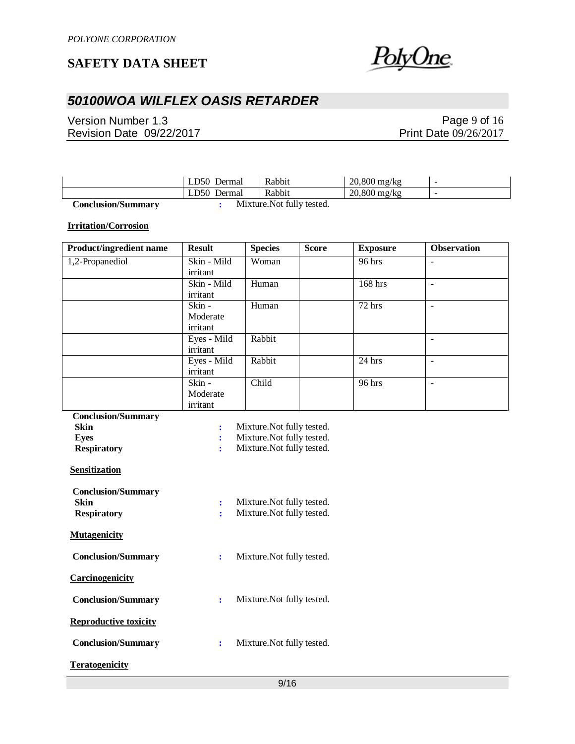

# *50100WOA WILFLEX OASIS RETARDER*

Version Number 1.3 Revision Date 09/22/2017

### Page 9 of 16 Print Date 09/26/2017

|                           | LD50 Dermal | Rabbit                     | $20,800 \,\mathrm{mg/kg}$ | -                        |
|---------------------------|-------------|----------------------------|---------------------------|--------------------------|
|                           | LD50 Dermal | Rabbit                     | $20,800 \,\mathrm{mg/kg}$ | $\overline{\phantom{a}}$ |
| <b>Conclusion/Summary</b> |             | Mixture. Not fully tested. |                           |                          |

**Irritation/Corrosion**

| Product/ingredient name | <b>Result</b> | <b>Species</b> | <b>Score</b> | <b>Exposure</b> | <b>Observation</b>       |
|-------------------------|---------------|----------------|--------------|-----------------|--------------------------|
| 1,2-Propanediol         | Skin - Mild   | Woman          |              | 96 hrs          |                          |
|                         | irritant      |                |              |                 |                          |
|                         | Skin - Mild   | Human          |              | 168 hrs         | $\overline{\phantom{a}}$ |
|                         | irritant      |                |              |                 |                          |
|                         | Skin -        | Human          |              | $72$ hrs        | ۰                        |
|                         | Moderate      |                |              |                 |                          |
|                         | irritant      |                |              |                 |                          |
|                         | Eyes - Mild   | Rabbit         |              |                 |                          |
|                         | irritant      |                |              |                 |                          |
|                         | Eyes - Mild   | Rabbit         |              | $24$ hrs        |                          |
|                         | irritant      |                |              |                 |                          |
|                         | Skin -        | Child          |              | 96 hrs          | ۰                        |
|                         | Moderate      |                |              |                 |                          |
|                         | irritant      |                |              |                 |                          |

| <b>Conclusion/Summary</b>    |                |                            |
|------------------------------|----------------|----------------------------|
| Skin                         | $\ddot{\cdot}$ | Mixture. Not fully tested. |
| Eyes                         | $\ddot{\cdot}$ | Mixture. Not fully tested. |
| <b>Respiratory</b>           | ÷              | Mixture. Not fully tested. |
| <b>Sensitization</b>         |                |                            |
| <b>Conclusion/Summary</b>    |                |                            |
| Skin                         | $\ddot{\cdot}$ | Mixture. Not fully tested. |
| <b>Respiratory</b>           | ř              | Mixture. Not fully tested. |
| <b>Mutagenicity</b>          |                |                            |
| <b>Conclusion/Summary</b>    | ÷              | Mixture. Not fully tested. |
| <b>Carcinogenicity</b>       |                |                            |
| <b>Conclusion/Summary</b>    | $\ddot{\cdot}$ | Mixture. Not fully tested. |
| <b>Reproductive toxicity</b> |                |                            |
| <b>Conclusion/Summary</b>    | $\ddot{\cdot}$ | Mixture. Not fully tested. |
| <b>Teratogenicity</b>        |                |                            |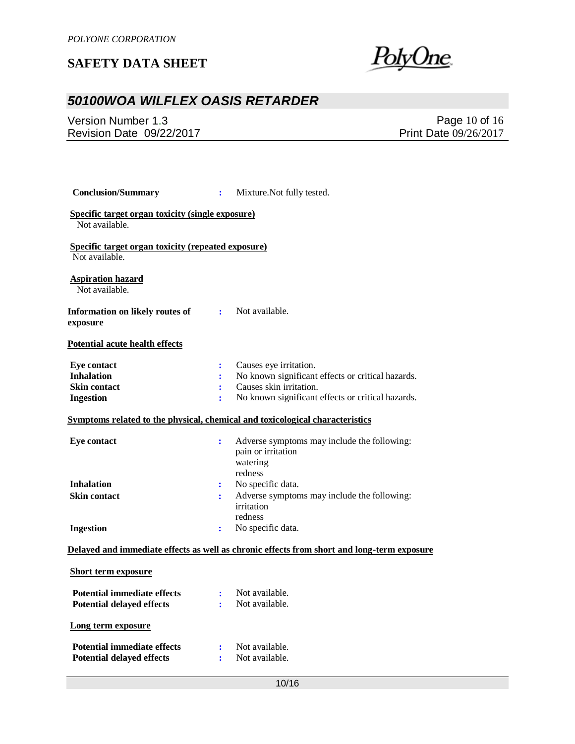<u>PolyOne</u>

# *50100WOA WILFLEX OASIS RETARDER*

Version Number 1.3 Revision Date 09/22/2017

Page 10 of 16 Print Date 09/26/2017

| <b>Conclusion/Summary</b>                                                          | $\ddot{\cdot}$                              | Mixture. Not fully tested.                                                                                                                                  |  |  |
|------------------------------------------------------------------------------------|---------------------------------------------|-------------------------------------------------------------------------------------------------------------------------------------------------------------|--|--|
| Specific target organ toxicity (single exposure)<br>Not available.                 |                                             |                                                                                                                                                             |  |  |
| Specific target organ toxicity (repeated exposure)<br>Not available.               |                                             |                                                                                                                                                             |  |  |
| <b>Aspiration hazard</b><br>Not available.                                         |                                             |                                                                                                                                                             |  |  |
| Information on likely routes of<br>exposure                                        | $\mathbf{E}$                                | Not available.                                                                                                                                              |  |  |
| <b>Potential acute health effects</b>                                              |                                             |                                                                                                                                                             |  |  |
| <b>Eye contact</b><br><b>Inhalation</b><br><b>Skin contact</b><br><b>Ingestion</b> | ÷<br>$\ddot{\cdot}$<br>÷<br>÷               | Causes eye irritation.<br>No known significant effects or critical hazards.<br>Causes skin irritation.<br>No known significant effects or critical hazards. |  |  |
|                                                                                    |                                             | Symptoms related to the physical, chemical and toxicological characteristics                                                                                |  |  |
| <b>Eye contact</b>                                                                 | $\ddot{\cdot}$                              | Adverse symptoms may include the following:<br>pain or irritation<br>watering<br>redness                                                                    |  |  |
| <b>Inhalation</b>                                                                  | ÷                                           | No specific data.                                                                                                                                           |  |  |
| <b>Skin contact</b>                                                                | ÷                                           | Adverse symptoms may include the following:<br>irritation<br>redness                                                                                        |  |  |
| <b>Ingestion</b>                                                                   | $\ddot{\cdot}$                              | No specific data.                                                                                                                                           |  |  |
|                                                                                    |                                             | Delayed and immediate effects as well as chronic effects from short and long-term exposure                                                                  |  |  |
| <b>Short term exposure</b>                                                         |                                             |                                                                                                                                                             |  |  |
| <b>Potential immediate effects</b><br><b>Potential delayed effects</b>             | $\mathbf{r}^{\mathrm{max}}$<br>$\mathbf{r}$ | Not available.<br>Not available.                                                                                                                            |  |  |
| Long term exposure                                                                 |                                             |                                                                                                                                                             |  |  |
| <b>Potential immediate effects</b><br><b>Potential delayed effects</b>             | ÷<br>÷                                      | Not available.<br>Not available.                                                                                                                            |  |  |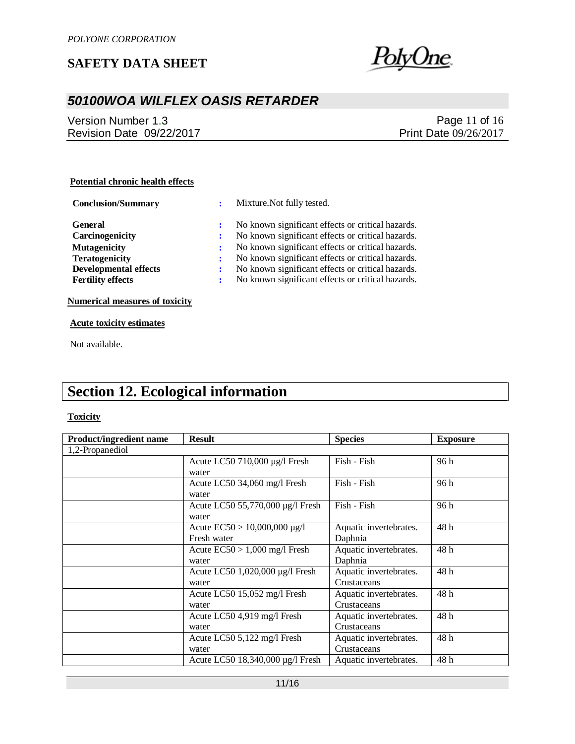

# *50100WOA WILFLEX OASIS RETARDER*

Version Number 1.3 Revision Date 09/22/2017

Page 11 of 16 Print Date 09/26/2017

#### **Potential chronic health effects**

| <b>Conclusion/Summary</b>                                                                                                                     | ÷           | Mixture. Not fully tested.                                                                                                                                                                                                                                                                                                 |
|-----------------------------------------------------------------------------------------------------------------------------------------------|-------------|----------------------------------------------------------------------------------------------------------------------------------------------------------------------------------------------------------------------------------------------------------------------------------------------------------------------------|
| <b>General</b><br>Carcinogenicity<br><b>Mutagenicity</b><br><b>Teratogenicity</b><br><b>Developmental effects</b><br><b>Fertility effects</b> | ÷<br>÷<br>÷ | No known significant effects or critical hazards.<br>No known significant effects or critical hazards.<br>No known significant effects or critical hazards.<br>No known significant effects or critical hazards.<br>No known significant effects or critical hazards.<br>No known significant effects or critical hazards. |
|                                                                                                                                               |             |                                                                                                                                                                                                                                                                                                                            |

**Numerical measures of toxicity**

#### **Acute toxicity estimates**

Not available.

# **Section 12. Ecological information**

#### **Toxicity**

| <b>Product/ingredient name</b> | <b>Result</b>                     | <b>Species</b>         | <b>Exposure</b> |
|--------------------------------|-----------------------------------|------------------------|-----------------|
| 1,2-Propanediol                |                                   |                        |                 |
|                                | Acute LC50 710,000 µg/l Fresh     | Fish - Fish            | 96 h            |
|                                | water                             |                        |                 |
|                                | Acute LC50 34,060 mg/l Fresh      | Fish - Fish            | 96 h            |
|                                | water                             |                        |                 |
|                                | Acute LC50 55,770,000 µg/l Fresh  | Fish - Fish            | 96 h            |
|                                | water                             |                        |                 |
|                                | Acute $EC50 > 10,000,000 \mu g/l$ | Aquatic invertebrates. | 48h             |
|                                | Fresh water                       | Daphnia                |                 |
|                                | Acute $EC50 > 1,000$ mg/l Fresh   | Aquatic invertebrates. | 48h             |
|                                | water                             | Daphnia                |                 |
|                                | Acute LC50 1,020,000 µg/l Fresh   | Aquatic invertebrates. | 48h             |
|                                | water                             | Crustaceans            |                 |
|                                | Acute LC50 15,052 mg/l Fresh      | Aquatic invertebrates. | 48h             |
|                                | water                             | Crustaceans            |                 |
|                                | Acute LC50 4,919 mg/l Fresh       | Aquatic invertebrates. | 48h             |
|                                | water                             | Crustaceans            |                 |
|                                | Acute LC50 5,122 mg/l Fresh       | Aquatic invertebrates. | 48h             |
|                                | water                             | Crustaceans            |                 |
|                                | Acute LC50 18,340,000 µg/l Fresh  | Aquatic invertebrates. | 48h             |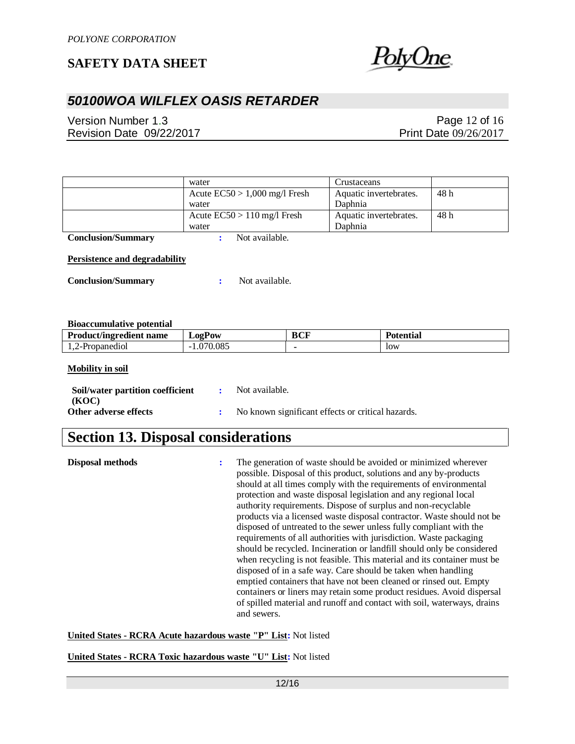

## *50100WOA WILFLEX OASIS RETARDER*

Version Number 1.3 Revision Date 09/22/2017

Page 12 of 16 Print Date 09/26/2017

|                                                                                                       | water                           |            | Crustaceans            |      |
|-------------------------------------------------------------------------------------------------------|---------------------------------|------------|------------------------|------|
|                                                                                                       | Acute $EC50 > 1,000$ mg/l Fresh |            | Aquatic invertebrates. | 48h  |
|                                                                                                       | water                           |            | Daphnia                |      |
|                                                                                                       | Acute $EC50 > 110$ mg/l Fresh   |            | Aquatic invertebrates. | 48 h |
|                                                                                                       | water                           |            | Daphnia                |      |
| <b>Conclusion/Summary</b>                                                                             | Not available.<br>÷             |            |                        |      |
| <b>Persistence and degradability</b><br><b>Conclusion/Summary</b><br><b>Bioaccumulative potential</b> | Not available.<br>÷             |            |                        |      |
| <b>Product/ingredient name</b>                                                                        | <b>LogPow</b>                   | <b>BCF</b> | <b>Potential</b>       |      |
| 1,2-Propanediol                                                                                       | $-1.070.085$                    |            | low                    |      |

#### **Mobility in soil**

| Soil/water partition coefficient | Not available.                                    |
|----------------------------------|---------------------------------------------------|
| (KOC)<br>Other adverse effects   | No known significant effects or critical hazards. |
|                                  |                                                   |

# **Section 13. Disposal considerations**

**Disposal methods :** The generation of waste should be avoided or minimized wherever possible. Disposal of this product, solutions and any by-products should at all times comply with the requirements of environmental protection and waste disposal legislation and any regional local authority requirements. Dispose of surplus and non-recyclable products via a licensed waste disposal contractor. Waste should not be disposed of untreated to the sewer unless fully compliant with the requirements of all authorities with jurisdiction. Waste packaging should be recycled. Incineration or landfill should only be considered when recycling is not feasible. This material and its container must be disposed of in a safe way. Care should be taken when handling emptied containers that have not been cleaned or rinsed out. Empty containers or liners may retain some product residues. Avoid dispersal of spilled material and runoff and contact with soil, waterways, drains and sewers.

**United States - RCRA Acute hazardous waste "P" List:** Not listed

**United States - RCRA Toxic hazardous waste "U" List:** Not listed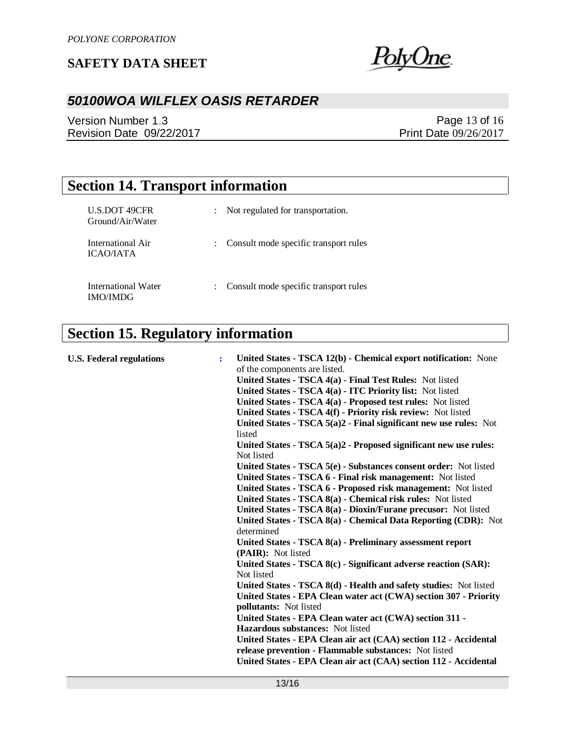

# *50100WOA WILFLEX OASIS RETARDER*

Version Number 1.3 Revision Date 09/22/2017

Page 13 of 16 Print Date 09/26/2017

# **Section 14. Transport information**

| <b>U.S.DOT 49CFR</b><br>Ground/Air/Water | Not regulated for transportation.     |
|------------------------------------------|---------------------------------------|
| International Air<br><b>ICAO/IATA</b>    | Consult mode specific transport rules |
| International Water<br><b>IMO/IMDG</b>   | Consult mode specific transport rules |

# **Section 15. Regulatory information**

| <b>U.S. Federal regulations</b> | United States - TSCA 12(b) - Chemical export notification: None<br>÷<br>of the components are listed.<br>United States - TSCA 4(a) - Final Test Rules: Not listed<br>United States - TSCA 4(a) - ITC Priority list: Not listed<br>United States - TSCA 4(a) - Proposed test rules: Not listed<br>United States - TSCA 4(f) - Priority risk review: Not listed<br>United States - TSCA $5(a)2$ - Final significant new use rules: Not<br>listed<br>United States - TSCA $5(a)2$ - Proposed significant new use rules:<br>Not listed<br>United States - TSCA 5(e) - Substances consent order: Not listed<br>United States - TSCA 6 - Final risk management: Not listed<br>United States - TSCA 6 - Proposed risk management: Not listed<br>United States - TSCA 8(a) - Chemical risk rules: Not listed<br>United States - TSCA 8(a) - Dioxin/Furane precusor: Not listed<br>United States - TSCA 8(a) - Chemical Data Reporting (CDR): Not<br>determined<br>United States - TSCA 8(a) - Preliminary assessment report<br>(PAIR): Not listed<br>United States - TSCA 8(c) - Significant adverse reaction (SAR):<br>Not listed<br>United States - TSCA 8(d) - Health and safety studies: Not listed<br>United States - EPA Clean water act (CWA) section 307 - Priority<br>pollutants: Not listed<br>United States - EPA Clean water act (CWA) section 311 - |
|---------------------------------|----------------------------------------------------------------------------------------------------------------------------------------------------------------------------------------------------------------------------------------------------------------------------------------------------------------------------------------------------------------------------------------------------------------------------------------------------------------------------------------------------------------------------------------------------------------------------------------------------------------------------------------------------------------------------------------------------------------------------------------------------------------------------------------------------------------------------------------------------------------------------------------------------------------------------------------------------------------------------------------------------------------------------------------------------------------------------------------------------------------------------------------------------------------------------------------------------------------------------------------------------------------------------------------------------------------------------------------------------------|
|                                 |                                                                                                                                                                                                                                                                                                                                                                                                                                                                                                                                                                                                                                                                                                                                                                                                                                                                                                                                                                                                                                                                                                                                                                                                                                                                                                                                                          |
|                                 |                                                                                                                                                                                                                                                                                                                                                                                                                                                                                                                                                                                                                                                                                                                                                                                                                                                                                                                                                                                                                                                                                                                                                                                                                                                                                                                                                          |
|                                 | <b>Hazardous substances:</b> Not listed                                                                                                                                                                                                                                                                                                                                                                                                                                                                                                                                                                                                                                                                                                                                                                                                                                                                                                                                                                                                                                                                                                                                                                                                                                                                                                                  |
|                                 | United States - EPA Clean air act (CAA) section 112 - Accidental                                                                                                                                                                                                                                                                                                                                                                                                                                                                                                                                                                                                                                                                                                                                                                                                                                                                                                                                                                                                                                                                                                                                                                                                                                                                                         |
|                                 | release prevention - Flammable substances: Not listed                                                                                                                                                                                                                                                                                                                                                                                                                                                                                                                                                                                                                                                                                                                                                                                                                                                                                                                                                                                                                                                                                                                                                                                                                                                                                                    |
|                                 | United States - EPA Clean air act (CAA) section 112 - Accidental                                                                                                                                                                                                                                                                                                                                                                                                                                                                                                                                                                                                                                                                                                                                                                                                                                                                                                                                                                                                                                                                                                                                                                                                                                                                                         |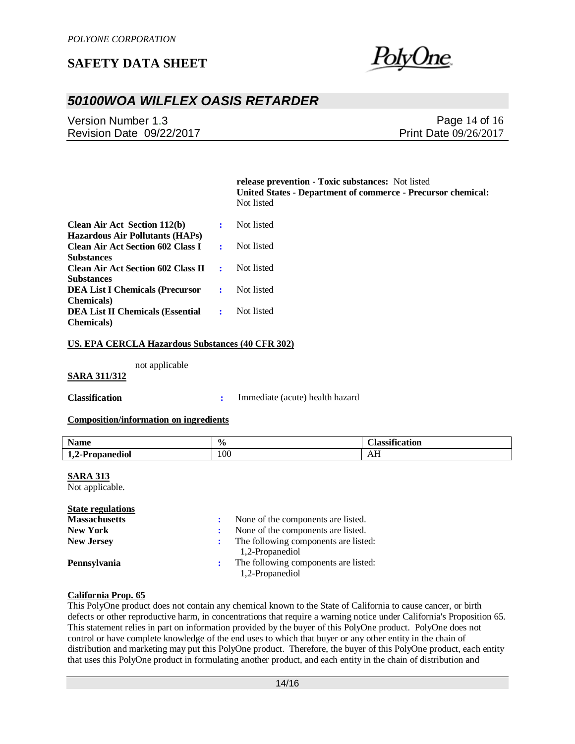

## *50100WOA WILFLEX OASIS RETARDER*

Version Number 1.3 Revision Date 09/22/2017

Page 14 of 16 Print Date 09/26/2017

**release prevention - Toxic substances:** Not listed **United States - Department of commerce - Precursor chemical:**  Not listed

| <b>Clean Air Act Section 112(b)</b>         |                       | Not listed |
|---------------------------------------------|-----------------------|------------|
| <b>Hazardous Air Pollutants (HAPs)</b>      |                       |            |
| <b>Clean Air Act Section 602 Class I</b>    | $\bullet$ . $\bullet$ | Not listed |
| <b>Substances</b>                           |                       |            |
| <b>Clean Air Act Section 602 Class II :</b> |                       | Not listed |
| <b>Substances</b>                           |                       |            |
| <b>DEA List I Chemicals (Precursor</b>      | $\Delta \sim 10$      | Not listed |
| <b>Chemicals</b> )                          |                       |            |
| <b>DEA List II Chemicals (Essential</b>     | $\mathbf{R}$          | Not listed |
| <b>Chemicals</b> )                          |                       |            |

#### **US. EPA CERCLA Hazardous Substances (40 CFR 302)**

not applicable

#### **SARA 311/312**

**Classification :** Immediate (acute) health hazard

#### **Composition/information on ingredients**

| $\bullet$<br><b>Name</b>                                                         | $\frac{0}{6}$ | $• \nightharpoonup$<br>catior<br>lo cait<br>. |
|----------------------------------------------------------------------------------|---------------|-----------------------------------------------|
| $\overline{\phantom{a}}$<br>-<br><u>т</u><br>opanediol'<br>л. е 11<br>. .<br>___ | 100           | лп                                            |

#### **SARA 313**

Not applicable.

#### **State regulations**

| <b>Massachusetts</b> | None of the components are listed.   |  |
|----------------------|--------------------------------------|--|
| <b>New York</b>      | None of the components are listed.   |  |
| <b>New Jersey</b>    | The following components are listed: |  |
|                      | 1,2-Propanediol                      |  |
| <b>Pennsylvania</b>  | The following components are listed: |  |
|                      | 1,2-Propanediol                      |  |

#### **California Prop. 65**

This PolyOne product does not contain any chemical known to the State of California to cause cancer, or birth defects or other reproductive harm, in concentrations that require a warning notice under California's Proposition 65. This statement relies in part on information provided by the buyer of this PolyOne product. PolyOne does not control or have complete knowledge of the end uses to which that buyer or any other entity in the chain of distribution and marketing may put this PolyOne product. Therefore, the buyer of this PolyOne product, each entity that uses this PolyOne product in formulating another product, and each entity in the chain of distribution and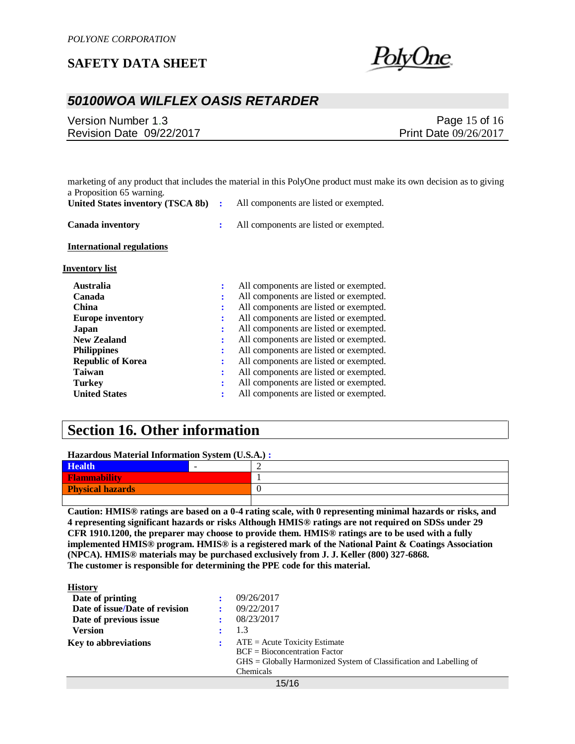

### *50100WOA WILFLEX OASIS RETARDER*

| Version Number 1.3       | Page 15 of 16         |
|--------------------------|-----------------------|
| Revision Date 09/22/2017 | Print Date 09/26/2017 |

|                                   |                | marketing of any product that includes the material in this PolyOne product must make its own decision as to giving |
|-----------------------------------|----------------|---------------------------------------------------------------------------------------------------------------------|
| a Proposition 65 warning.         |                |                                                                                                                     |
| United States inventory (TSCA 8b) | ÷              | All components are listed or exempted.                                                                              |
| <b>Canada inventory</b>           | $\ddot{\cdot}$ | All components are listed or exempted.                                                                              |
| <b>International regulations</b>  |                |                                                                                                                     |
| Inventory list                    |                |                                                                                                                     |
| <b>Australia</b>                  |                | All components are listed or exempted.                                                                              |
| Canada                            | ÷              | All components are listed or exempted.                                                                              |
| <b>China</b>                      |                | All components are listed or exempted.                                                                              |
| <b>Europe inventory</b>           |                | All components are listed or exempted.                                                                              |
| Japan                             |                | All components are listed or exempted.                                                                              |
| <b>New Zealand</b>                |                | All components are listed or exempted.                                                                              |
| <b>Philippines</b>                |                | All components are listed or exempted.                                                                              |
| <b>Republic of Korea</b>          | ÷              | All components are listed or exempted.                                                                              |
| <b>Taiwan</b>                     |                | All components are listed or exempted.                                                                              |
| <b>Turkey</b>                     |                | All components are listed or exempted.                                                                              |
| <b>United States</b>              |                | All components are listed or exempted.                                                                              |

## **Section 16. Other information**

**Hazardous Material Information System (U.S.A.) :**

| <b>Health</b>           |    |
|-------------------------|----|
| <b>Flammability</b>     |    |
| <b>Physical hazards</b> | Ι. |
|                         |    |

**Caution: HMIS® ratings are based on a 0-4 rating scale, with 0 representing minimal hazards or risks, and 4 representing significant hazards or risks Although HMIS® ratings are not required on SDSs under 29 CFR 1910.1200, the preparer may choose to provide them. HMIS® ratings are to be used with a fully implemented HMIS® program. HMIS® is a registered mark of the National Paint & Coatings Association (NPCA). HMIS® materials may be purchased exclusively from J. J. Keller (800) 327-6868. The customer is responsible for determining the PPE code for this material.**

| <b>History</b>                 |                                                                                  |
|--------------------------------|----------------------------------------------------------------------------------|
| Date of printing               | 09/26/2017                                                                       |
| Date of issue/Date of revision | 09/22/2017                                                                       |
| Date of previous issue         | 08/23/2017                                                                       |
| <b>Version</b>                 | 1.3                                                                              |
| <b>Key to abbreviations</b>    | $ATE = Acute Toxicity Estimate$                                                  |
|                                | $BCF = Bioconcentration Factor$                                                  |
|                                | $\overline{GHS}$ = Globally Harmonized System of Classification and Labelling of |
|                                | Chemicals                                                                        |
|                                |                                                                                  |